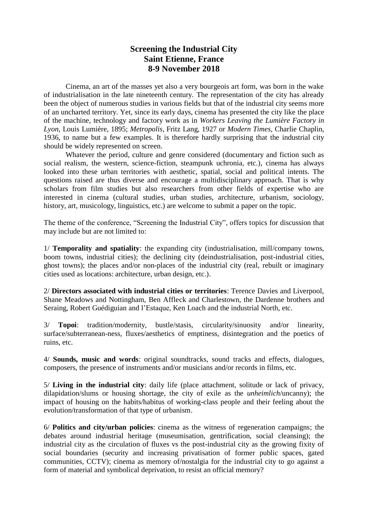## **Screening the Industrial City Saint Etienne, France 8-9 November 2018**

Cinema, an art of the masses yet also a very bourgeois art form, was born in the wake of industrialisation in the late nineteenth century. The representation of the city has already been the object of numerous studies in various fields but that of the industrial city seems more of an uncharted territory. Yet, since its early days, cinema has presented the city like the place of the machine, technology and factory work as in *Workers Leaving the Lumière Factory in Lyon*, Louis Lumière, 1895; *Metropolis*, Fritz Lang, 1927 or *Modern Times*, Charlie Chaplin, 1936, to name but a few examples. It is therefore hardly surprising that the industrial city should be widely represented on screen.

Whatever the period, culture and genre considered (documentary and fiction such as social realism, the western, science-fiction, steampunk uchronia, etc.), cinema has always looked into these urban territories with aesthetic, spatial, social and political intents. The questions raised are thus diverse and encourage a multidisciplinary approach. That is why scholars from film studies but also researchers from other fields of expertise who are interested in cinema (cultural studies, urban studies, architecture, urbanism, sociology, history, art, musicology, linguistics, etc.) are welcome to submit a paper on the topic.

The theme of the conference, "Screening the Industrial City", offers topics for discussion that may include but are not limited to:

1/ **Temporality and spatiality**: the expanding city (industrialisation, mill/company towns, boom towns, industrial cities); the declining city (deindustrialisation, post-industrial cities, ghost towns); the places and/or non-places of the industrial city (real, rebuilt or imaginary cities used as locations: architecture, urban design, etc.).

2/ **Directors associated with industrial cities or territories**: Terence Davies and Liverpool, Shane Meadows and Nottingham, Ben Affleck and Charlestown, the Dardenne brothers and Seraing, Robert Guédiguian and l'Estaque, Ken Loach and the industrial North, etc.

3/ **Topoi**: tradition/modernity, bustle/stasis, circularity/sinuosity and/or linearity, surface/subterranean-ness, fluxes/aesthetics of emptiness, disintegration and the poetics of ruins, etc.

4/ **Sounds, music and words**: original soundtracks, sound tracks and effects, dialogues, composers, the presence of instruments and/or musicians and/or records in films, etc.

5/ **Living in the industrial city**: daily life (place attachment, solitude or lack of privacy, dilapidation/slums or housing shortage, the city of exile as the *unheimlich*/uncanny); the impact of housing on the habits/habitus of working-class people and their feeling about the evolution/transformation of that type of urbanism.

6/ **Politics and city/urban policies**: cinema as the witness of regeneration campaigns; the debates around industrial heritage (museumisation, gentrification, social cleansing); the industrial city as the circulation of fluxes vs the post-industrial city as the growing fixity of social boundaries (security and increasing privatisation of former public spaces, gated communities, CCTV); cinema as memory of/nostalgia for the industrial city to go against a form of material and symbolical deprivation, to resist an official memory?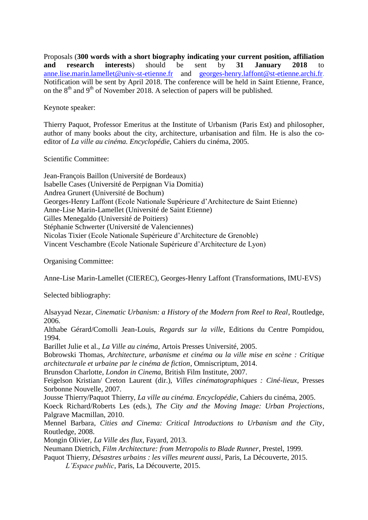Proposals (**300 words with a short biography indicating your current position, affiliation and research interests**) should be sent by **31 January 2018** to [anne.lise.marin.lamellet@univ-st-etienne.fr](mailto:anne.lise.marin.lamellet@univ-st-etienne.fr) and [georges-henry.laffont@st-etienne.archi.fr.](mailto:georges-henry.laffont@st-etienne.archi.fr) Notification will be sent by April 2018. The conference will be held in Saint Etienne, France, on the  $8<sup>th</sup>$  and  $9<sup>th</sup>$  of November 2018. A selection of papers will be published.

Keynote speaker:

Thierry Paquot, Professor Emeritus at the Institute of Urbanism (Paris Est) and philosopher, author of many books about the city, architecture, urbanisation and film. He is also the coeditor of *La ville au cinéma. Encyclopédie*, Cahiers du cinéma, 2005.

Scientific Committee:

Jean-François Baillon (Université de Bordeaux) Isabelle Cases (Université de Perpignan Via Domitia) Andrea Grunert (Université de Bochum) Georges-Henry Laffont (Ecole Nationale Supérieure d'Architecture de Saint Etienne) Anne-Lise Marin-Lamellet (Université de Saint Etienne) Gilles Menegaldo (Université de Poitiers) Stéphanie Schwerter (Université de Valenciennes) Nicolas Tixier (Ecole Nationale Supérieure d'Architecture de Grenoble) Vincent Veschambre (Ecole Nationale Supérieure d'Architecture de Lyon)

Organising Committee:

Anne-Lise Marin-Lamellet (CIEREC), Georges-Henry Laffont (Transformations, IMU-EVS)

Selected bibliography:

Alsayyad Nezar, *Cinematic Urbanism: a History of the Modern from Reel to Real*, Routledge, 2006.

Althabe Gérard/Comolli Jean-Louis, *Regards sur la ville*, Editions du Centre Pompidou, 1994.

Barillet Julie et al., *La Ville au cinéma*, Artois Presses Université, 2005.

Bobrowski Thomas, *Architecture, urbanisme et cinéma ou la ville mise en scène : Critique architecturale et urbaine par le cinéma de fiction*, Omniscriptum, 2014.

Brunsdon Charlotte, *London in Cinema*, British Film Institute, 2007.

Feigelson Kristian/ Creton Laurent (dir.), *Villes cinématographiques : Ciné-lieux*, Presses Sorbonne Nouvelle, 2007.

Jousse Thierry/Paquot Thierry, *La ville au cinéma. Encyclopédie*, Cahiers du cinéma, 2005.

Koeck Richard/Roberts Les (eds.), *The City and the Moving Image: Urban Projections*, Palgrave Macmillan, 2010.

Mennel Barbara, *Cities and Cinema: Critical Introductions to Urbanism and the City*, Routledge, 2008.

Mongin Olivier, *La Ville des flux*, Fayard, 2013.

Neumann Dietrich, *Film Architecture: from Metropolis to Blade Runner*, Prestel, 1999.

Paquot Thierry, *Désastres urbains : les villes meurent aussi*, Paris, La Découverte, 2015.

*L'Espace public*, Paris, La Découverte, 2015.